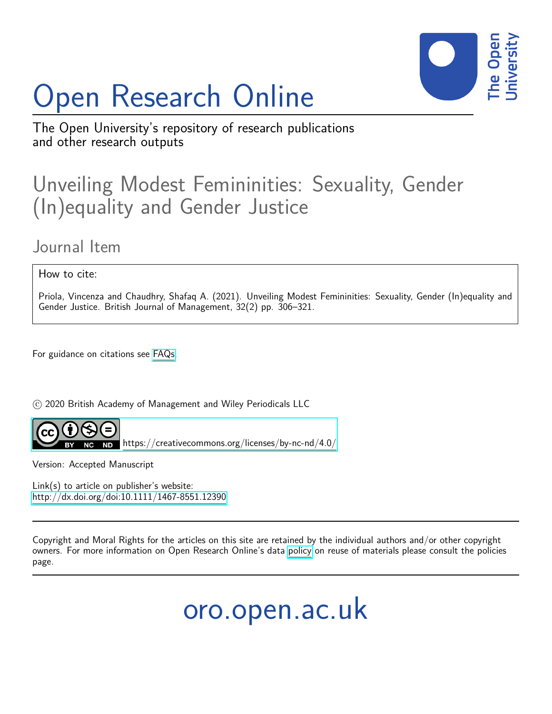# Open Research Online



The Open University's repository of research publications and other research outputs

## Unveiling Modest Femininities: Sexuality, Gender (In)equality and Gender Justice

### Journal Item

How to cite:

Priola, Vincenza and Chaudhry, Shafaq A. (2021). Unveiling Modest Femininities: Sexuality, Gender (In)equality and Gender Justice. British Journal of Management, 32(2) pp. 306–321.

For guidance on citations see [FAQs.](http://oro.open.ac.uk/help/helpfaq.html)

 $\odot$  2020 British Academy of Management and Wiley Periodicals LLC



<https://creativecommons.org/licenses/by-nc-nd/4.0/>

Version: Accepted Manuscript

Link(s) to article on publisher's website: <http://dx.doi.org/doi:10.1111/1467-8551.12390>

Copyright and Moral Rights for the articles on this site are retained by the individual authors and/or other copyright owners. For more information on Open Research Online's data [policy](http://oro.open.ac.uk/policies.html) on reuse of materials please consult the policies page.

oro.open.ac.uk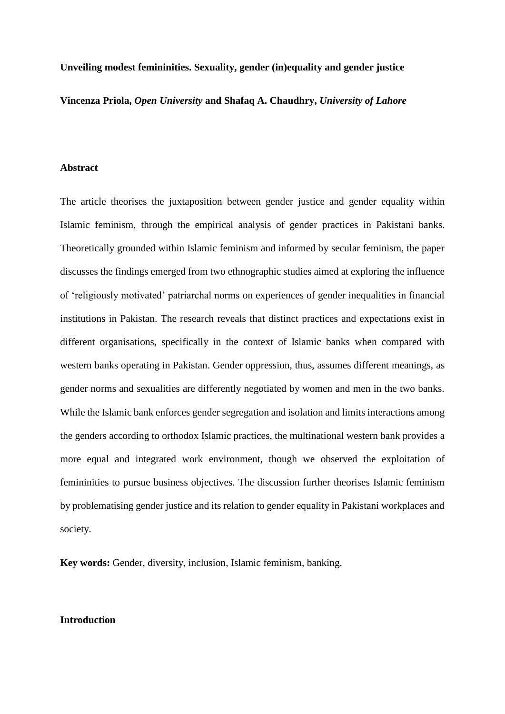#### **Unveiling modest femininities. Sexuality, gender (in)equality and gender justice**

**Vincenza Priola,** *Open University* **and Shafaq A. Chaudhry,** *University of Lahore*

#### **Abstract**

The article theorises the juxtaposition between gender justice and gender equality within Islamic feminism, through the empirical analysis of gender practices in Pakistani banks. Theoretically grounded within Islamic feminism and informed by secular feminism, the paper discusses the findings emerged from two ethnographic studies aimed at exploring the influence of 'religiously motivated' patriarchal norms on experiences of gender inequalities in financial institutions in Pakistan. The research reveals that distinct practices and expectations exist in different organisations, specifically in the context of Islamic banks when compared with western banks operating in Pakistan. Gender oppression, thus, assumes different meanings, as gender norms and sexualities are differently negotiated by women and men in the two banks. While the Islamic bank enforces gender segregation and isolation and limits interactions among the genders according to orthodox Islamic practices, the multinational western bank provides a more equal and integrated work environment, though we observed the exploitation of femininities to pursue business objectives. The discussion further theorises Islamic feminism by problematising gender justice and its relation to gender equality in Pakistani workplaces and society.

**Key words:** Gender, diversity, inclusion, Islamic feminism, banking.

#### **Introduction**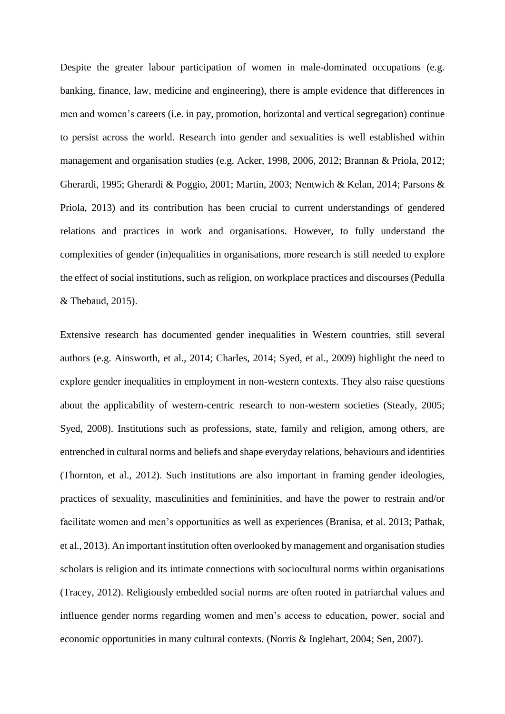Despite the greater labour participation of women in male-dominated occupations (e.g. banking, finance, law, medicine and engineering), there is ample evidence that differences in men and women's careers (i.e. in pay, promotion, horizontal and vertical segregation) continue to persist across the world. Research into gender and sexualities is well established within management and organisation studies (e.g. Acker, 1998, 2006, 2012; Brannan & Priola, 2012; Gherardi, 1995; Gherardi & Poggio, 2001; Martin, 2003; Nentwich & Kelan, 2014; Parsons & Priola, 2013) and its contribution has been crucial to current understandings of gendered relations and practices in work and organisations. However, to fully understand the complexities of gender (in)equalities in organisations, more research is still needed to explore the effect of social institutions, such as religion, on workplace practices and discourses (Pedulla & Thebaud, 2015).

Extensive research has documented gender inequalities in Western countries, still several authors (e.g. Ainsworth, et al., 2014; Charles, 2014; Syed, et al., 2009) highlight the need to explore gender inequalities in employment in non-western contexts. They also raise questions about the applicability of western-centric research to non-western societies (Steady, 2005; Syed, 2008). Institutions such as professions, state, family and religion, among others, are entrenched in cultural norms and beliefs and shape everyday relations, behaviours and identities (Thornton, et al., 2012). Such institutions are also important in framing gender ideologies, practices of sexuality, masculinities and femininities, and have the power to restrain and/or facilitate women and men's opportunities as well as experiences (Branisa, et al. 2013; Pathak, et al., 2013). An important institution often overlooked by management and organisation studies scholars is religion and its intimate connections with sociocultural norms within organisations (Tracey, 2012). Religiously embedded social norms are often rooted in patriarchal values and influence gender norms regarding women and men's access to education, power, social and economic opportunities in many cultural contexts. (Norris & Inglehart, 2004; Sen, 2007).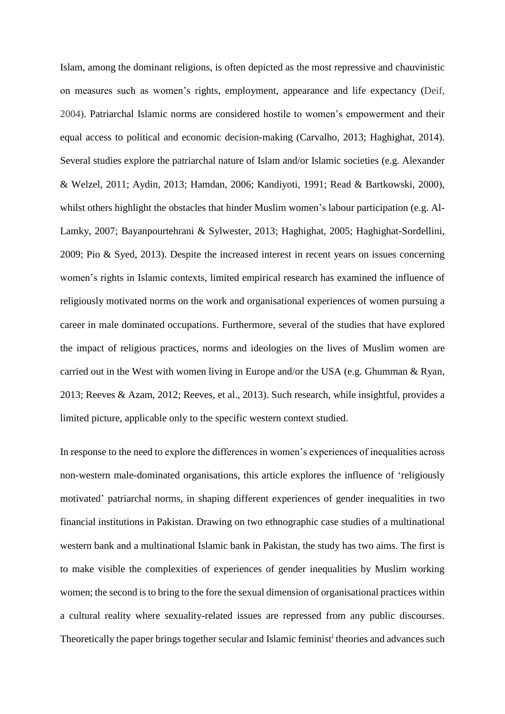Islam, among the dominant religions, is often depicted as the most repressive and chauvinistic on measures such as women's rights, employment, appearance and life expectancy (Deif, 2004). Patriarchal Islamic norms are considered hostile to women's empowerment and their equal access to political and economic decision-making (Carvalho, 2013; Haghighat, 2014). Several studies explore the patriarchal nature of Islam and/or Islamic societies (e.g. Alexander & Welzel, 2011; Aydin, 2013; Hamdan, 2006; Kandiyoti, 1991; Read & Bartkowski, 2000), whilst others highlight the obstacles that hinder Muslim women's labour participation (e.g. Al-Lamky, 2007; Bayanpourtehrani & Sylwester, 2013; Haghighat, 2005; Haghighat-Sordellini, 2009; Pio & Syed, 2013). Despite the increased interest in recent years on issues concerning women's rights in Islamic contexts, limited empirical research has examined the influence of religiously motivated norms on the work and organisational experiences of women pursuing a career in male dominated occupations. Furthermore, several of the studies that have explored the impact of religious practices, norms and ideologies on the lives of Muslim women are carried out in the West with women living in Europe and/or the USA (e.g. Ghumman & Ryan, 2013; Reeves & Azam, 2012; Reeves, et al., 2013). Such research, while insightful, provides a limited picture, applicable only to the specific western context studied.

In response to the need to explore the differences in women's experiences of inequalities across non-western male-dominated organisations, this article explores the influence of 'religiously motivated' patriarchal norms, in shaping different experiences of gender inequalities in two financial institutions in Pakistan. Drawing on two ethnographic case studies of a multinational western bank and a multinational Islamic bank in Pakistan, the study has two aims. The first is to make visible the complexities of experiences of gender inequalities by Muslim working women; the second is to bring to the fore the sexual dimension of organisational practices within a cultural reality where sexuality-related issues are repressed from any public discourses. Theoretically the paper brings together secular and Islamic feminist<sup>i</sup> theories and advances such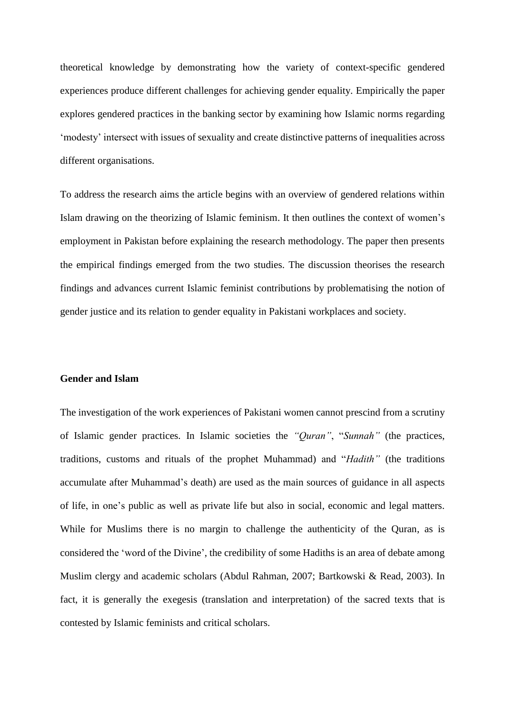theoretical knowledge by demonstrating how the variety of context-specific gendered experiences produce different challenges for achieving gender equality. Empirically the paper explores gendered practices in the banking sector by examining how Islamic norms regarding 'modesty' intersect with issues of sexuality and create distinctive patterns of inequalities across different organisations.

To address the research aims the article begins with an overview of gendered relations within Islam drawing on the theorizing of Islamic feminism. It then outlines the context of women's employment in Pakistan before explaining the research methodology. The paper then presents the empirical findings emerged from the two studies. The discussion theorises the research findings and advances current Islamic feminist contributions by problematising the notion of gender justice and its relation to gender equality in Pakistani workplaces and society.

#### **Gender and Islam**

The investigation of the work experiences of Pakistani women cannot prescind from a scrutiny of Islamic gender practices. In Islamic societies the *"Quran"*, "*Sunnah"* (the practices, traditions, customs and rituals of the prophet Muhammad) and "*Hadith"* (the traditions accumulate after Muhammad's death) are used as the main sources of guidance in all aspects of life, in one's public as well as private life but also in social, economic and legal matters. While for Muslims there is no margin to challenge the authenticity of the Quran, as is considered the 'word of the Divine', the credibility of some Hadiths is an area of debate among Muslim clergy and academic scholars (Abdul Rahman, 2007; Bartkowski & Read, 2003). In fact, it is generally the exegesis (translation and interpretation) of the sacred texts that is contested by Islamic feminists and critical scholars.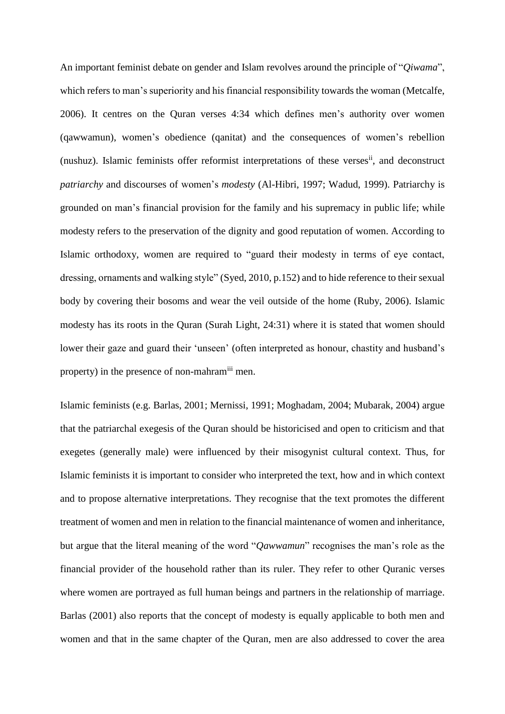An important feminist debate on gender and Islam revolves around the principle of "*Qiwama*", which refers to man's superiority and his financial responsibility towards the woman (Metcalfe, 2006). It centres on the Quran verses 4:34 which defines men's authority over women (qawwamun), women's obedience (qanitat) and the consequences of women's rebellion (nushuz). Islamic feminists offer reformist interpretations of these verses<sup>ii</sup>, and deconstruct *patriarchy* and discourses of women's *modesty* (Al-Hibri, 1997; Wadud, 1999). Patriarchy is grounded on man's financial provision for the family and his supremacy in public life; while modesty refers to the preservation of the dignity and good reputation of women. According to Islamic orthodoxy, women are required to "guard their modesty in terms of eye contact, dressing, ornaments and walking style" (Syed, 2010, p.152) and to hide reference to their sexual body by covering their bosoms and wear the veil outside of the home (Ruby, 2006). Islamic modesty has its roots in the Quran (Surah Light, 24:31) where it is stated that women should lower their gaze and guard their 'unseen' (often interpreted as honour, chastity and husband's property) in the presence of non-mahramiii men.

Islamic feminists (e.g. Barlas, 2001; Mernissi, 1991; Moghadam, 2004; Mubarak, 2004) argue that the patriarchal exegesis of the Quran should be historicised and open to criticism and that exegetes (generally male) were influenced by their misogynist cultural context. Thus, for Islamic feminists it is important to consider who interpreted the text, how and in which context and to propose alternative interpretations. They recognise that the text promotes the different treatment of women and men in relation to the financial maintenance of women and inheritance, but argue that the literal meaning of the word "*Qawwamun*" recognises the man's role as the financial provider of the household rather than its ruler. They refer to other Quranic verses where women are portrayed as full human beings and partners in the relationship of marriage. Barlas (2001) also reports that the concept of modesty is equally applicable to both men and women and that in the same chapter of the Quran, men are also addressed to cover the area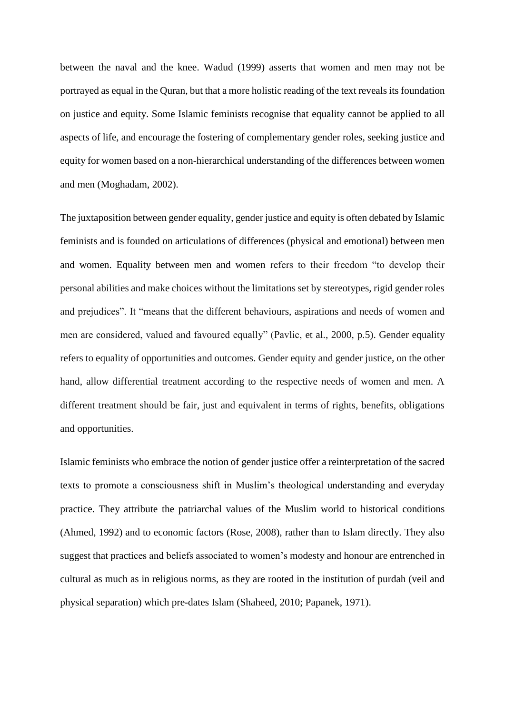between the naval and the knee. Wadud (1999) asserts that women and men may not be portrayed as equal in the Quran, but that a more holistic reading of the text reveals its foundation on justice and equity. Some Islamic feminists recognise that equality cannot be applied to all aspects of life, and encourage the fostering of complementary gender roles, seeking justice and equity for women based on a non-hierarchical understanding of the differences between women and men (Moghadam, 2002).

The juxtaposition between gender equality, gender justice and equity is often debated by Islamic feminists and is founded on articulations of differences (physical and emotional) between men and women. Equality between men and women refers to their freedom "to develop their personal abilities and make choices without the limitations set by stereotypes, rigid gender roles and prejudices". It "means that the different behaviours, aspirations and needs of women and men are considered, valued and favoured equally" (Pavlic, et al., 2000, p.5). Gender equality refers to equality of opportunities and outcomes. Gender equity and gender justice, on the other hand, allow differential treatment according to the respective needs of women and men. A different treatment should be fair, just and equivalent in terms of rights, benefits, obligations and opportunities.

Islamic feminists who embrace the notion of gender justice offer a reinterpretation of the sacred texts to promote a consciousness shift in Muslim's theological understanding and everyday practice. They attribute the patriarchal values of the Muslim world to historical conditions (Ahmed, 1992) and to economic factors (Rose, 2008), rather than to Islam directly. They also suggest that practices and beliefs associated to women's modesty and honour are entrenched in cultural as much as in religious norms, as they are rooted in the institution of purdah (veil and physical separation) which pre-dates Islam (Shaheed, 2010; Papanek, 1971).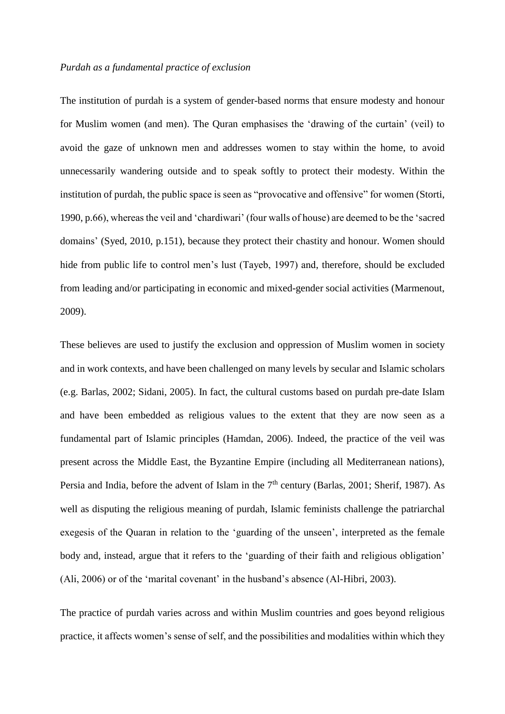#### *Purdah as a fundamental practice of exclusion*

The institution of purdah is a system of gender-based norms that ensure modesty and honour for Muslim women (and men). The Quran emphasises the 'drawing of the curtain' (veil) to avoid the gaze of unknown men and addresses women to stay within the home, to avoid unnecessarily wandering outside and to speak softly to protect their modesty. Within the institution of purdah, the public space is seen as "provocative and offensive" for women (Storti, 1990, p.66), whereas the veil and 'chardiwari' (four walls of house) are deemed to be the 'sacred domains' (Syed, 2010, p.151), because they protect their chastity and honour. Women should hide from public life to control men's lust (Tayeb, 1997) and, therefore, should be excluded from leading and/or participating in economic and mixed-gender social activities (Marmenout, 2009).

These believes are used to justify the exclusion and oppression of Muslim women in society and in work contexts, and have been challenged on many levels by secular and Islamic scholars (e.g. Barlas, 2002; Sidani, 2005). In fact, the cultural customs based on purdah pre-date Islam and have been embedded as religious values to the extent that they are now seen as a fundamental part of Islamic principles (Hamdan, 2006). Indeed, the practice of the veil was present across the Middle East, the Byzantine Empire (including all Mediterranean nations), Persia and India, before the advent of Islam in the  $7<sup>th</sup>$  century (Barlas, 2001; Sherif, 1987). As well as disputing the religious meaning of purdah, Islamic feminists challenge the patriarchal exegesis of the Quaran in relation to the 'guarding of the unseen', interpreted as the female body and, instead, argue that it refers to the 'guarding of their faith and religious obligation' (Ali, 2006) or of the 'marital covenant' in the husband's absence (Al-Hibri, 2003).

The practice of purdah varies across and within Muslim countries and goes beyond religious practice, it affects women's sense of self, and the possibilities and modalities within which they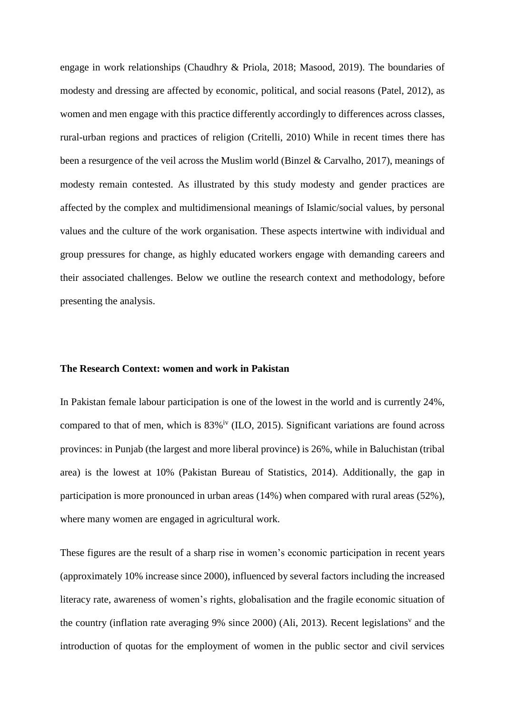engage in work relationships (Chaudhry & Priola, 2018; Masood, 2019). The boundaries of modesty and dressing are affected by economic, political, and social reasons (Patel, 2012), as women and men engage with this practice differently accordingly to differences across classes, rural-urban regions and practices of religion (Critelli, 2010) While in recent times there has been a resurgence of the veil across the Muslim world (Binzel & Carvalho, 2017), meanings of modesty remain contested. As illustrated by this study modesty and gender practices are affected by the complex and multidimensional meanings of Islamic/social values, by personal values and the culture of the work organisation. These aspects intertwine with individual and group pressures for change, as highly educated workers engage with demanding careers and their associated challenges. Below we outline the research context and methodology, before presenting the analysis.

#### **The Research Context: women and work in Pakistan**

In Pakistan female labour participation is one of the lowest in the world and is currently 24%, compared to that of men, which is  $83\%$ <sup>iv</sup> (ILO, 2015). Significant variations are found across provinces: in Punjab (the largest and more liberal province) is 26%, while in Baluchistan (tribal area) is the lowest at 10% (Pakistan Bureau of Statistics, 2014). Additionally, the gap in participation is more pronounced in urban areas (14%) when compared with rural areas (52%), where many women are engaged in agricultural work.

These figures are the result of a sharp rise in women's economic participation in recent years (approximately 10% increase since 2000), influenced by several factors including the increased literacy rate, awareness of women's rights, globalisation and the fragile economic situation of the country (inflation rate averaging 9% since 2000) (Ali, 2013). Recent legislations<sup>v</sup> and the introduction of quotas for the employment of women in the public sector and civil services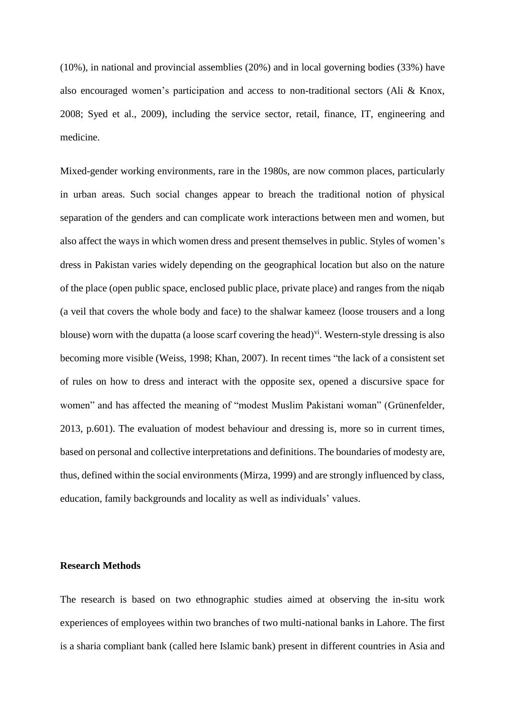(10%), in national and provincial assemblies (20%) and in local governing bodies (33%) have also encouraged women's participation and access to non-traditional sectors (Ali & Knox, 2008; Syed et al., 2009), including the service sector, retail, finance, IT, engineering and medicine.

Mixed-gender working environments, rare in the 1980s, are now common places, particularly in urban areas. Such social changes appear to breach the traditional notion of physical separation of the genders and can complicate work interactions between men and women, but also affect the ways in which women dress and present themselves in public. Styles of women's dress in Pakistan varies widely depending on the geographical location but also on the nature of the place (open public space, enclosed public place, private place) and ranges from the niqab (a veil that covers the whole body and face) to the shalwar kameez (loose trousers and a long blouse) worn with the dupatta (a loose scarf covering the head)<sup>vi</sup>. Western-style dressing is also becoming more visible (Weiss, 1998; Khan, 2007). In recent times "the lack of a consistent set of rules on how to dress and interact with the opposite sex, opened a discursive space for women" and has affected the meaning of "modest Muslim Pakistani woman" (Grünenfelder, 2013, p.601). The evaluation of modest behaviour and dressing is, more so in current times, based on personal and collective interpretations and definitions. The boundaries of modesty are, thus, defined within the social environments (Mirza, 1999) and are strongly influenced by class, education, family backgrounds and locality as well as individuals' values.

#### **Research Methods**

The research is based on two ethnographic studies aimed at observing the in-situ work experiences of employees within two branches of two multi-national banks in Lahore. The first is a sharia compliant bank (called here Islamic bank) present in different countries in Asia and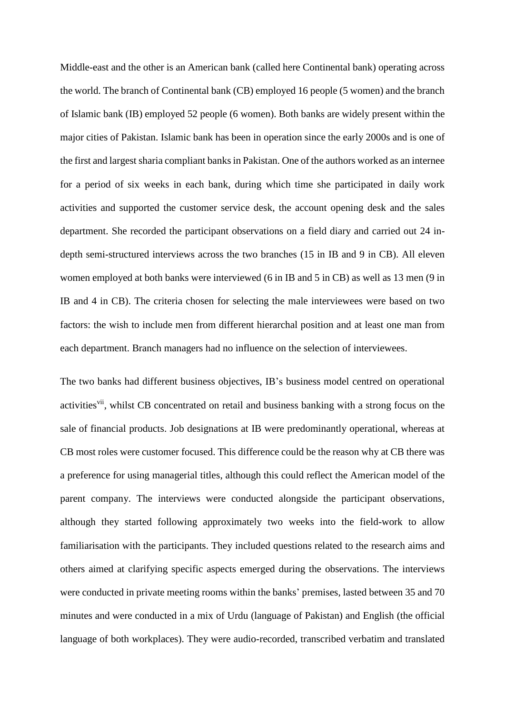Middle-east and the other is an American bank (called here Continental bank) operating across the world. The branch of Continental bank (CB) employed 16 people (5 women) and the branch of Islamic bank (IB) employed 52 people (6 women). Both banks are widely present within the major cities of Pakistan. Islamic bank has been in operation since the early 2000s and is one of the first and largest sharia compliant banks in Pakistan. One of the authors worked as an internee for a period of six weeks in each bank, during which time she participated in daily work activities and supported the customer service desk, the account opening desk and the sales department. She recorded the participant observations on a field diary and carried out 24 indepth semi-structured interviews across the two branches (15 in IB and 9 in CB). All eleven women employed at both banks were interviewed (6 in IB and 5 in CB) as well as 13 men (9 in IB and 4 in CB). The criteria chosen for selecting the male interviewees were based on two factors: the wish to include men from different hierarchal position and at least one man from each department. Branch managers had no influence on the selection of interviewees.

The two banks had different business objectives, IB's business model centred on operational activities<sup>vii</sup>, whilst CB concentrated on retail and business banking with a strong focus on the sale of financial products. Job designations at IB were predominantly operational, whereas at CB most roles were customer focused. This difference could be the reason why at CB there was a preference for using managerial titles, although this could reflect the American model of the parent company. The interviews were conducted alongside the participant observations, although they started following approximately two weeks into the field-work to allow familiarisation with the participants. They included questions related to the research aims and others aimed at clarifying specific aspects emerged during the observations. The interviews were conducted in private meeting rooms within the banks' premises, lasted between 35 and 70 minutes and were conducted in a mix of Urdu (language of Pakistan) and English (the official language of both workplaces). They were audio-recorded, transcribed verbatim and translated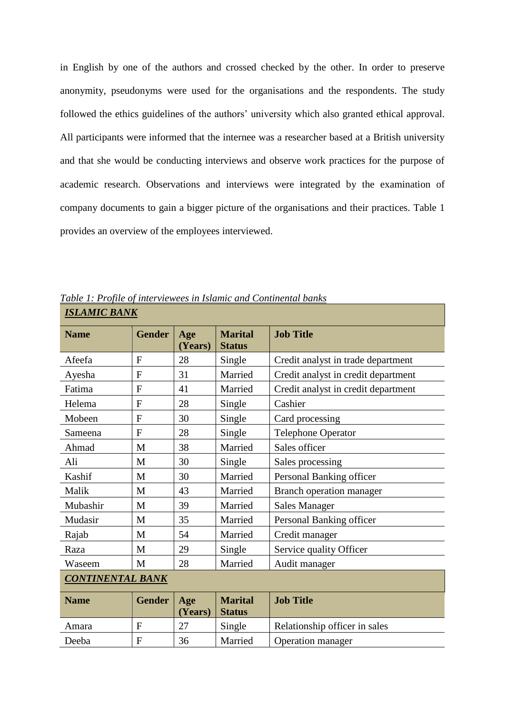in English by one of the authors and crossed checked by the other. In order to preserve anonymity, pseudonyms were used for the organisations and the respondents. The study followed the ethics guidelines of the authors' university which also granted ethical approval. All participants were informed that the internee was a researcher based at a British university and that she would be conducting interviews and observe work practices for the purpose of academic research. Observations and interviews were integrated by the examination of company documents to gain a bigger picture of the organisations and their practices. Table 1 provides an overview of the employees interviewed.

| <b>Name</b>             | <b>Gender</b>  | Age<br>(Years) | <b>Marital</b><br><b>Status</b> | <b>Job Title</b>                    |  |
|-------------------------|----------------|----------------|---------------------------------|-------------------------------------|--|
| Afeefa                  | $\mathbf{F}$   | 28             | Single                          | Credit analyst in trade department  |  |
| Ayesha                  | $\overline{F}$ | 31             | Married                         | Credit analyst in credit department |  |
| Fatima                  | $\overline{F}$ | 41             | Married                         | Credit analyst in credit department |  |
| Helema                  | $\mathbf{F}$   | 28             | Single                          | Cashier                             |  |
| Mobeen                  | $\overline{F}$ | 30             | Single                          | Card processing                     |  |
| Sameena                 | $\mathbf{F}$   | 28             | Single                          | <b>Telephone Operator</b>           |  |
| Ahmad                   | M              | 38             | Married                         | Sales officer                       |  |
| Ali                     | M              | 30             | Single                          | Sales processing                    |  |
| Kashif                  | M              | 30             | Married                         | Personal Banking officer            |  |
| Malik                   | M              | 43             | Married                         | Branch operation manager            |  |
| Mubashir                | M              | 39             | Married                         | <b>Sales Manager</b>                |  |
| Mudasir                 | M              | 35             | Married                         | Personal Banking officer            |  |
| Rajab                   | M              | 54             | Married                         | Credit manager                      |  |
| Raza                    | M              | 29             | Single                          | Service quality Officer             |  |
| Waseem                  | M              | 28             | Married                         | Audit manager                       |  |
| <b>CONTINENTAL BANK</b> |                |                |                                 |                                     |  |
| <b>Name</b>             | <b>Gender</b>  | Age<br>(Years) | <b>Marital</b><br><b>Status</b> | <b>Job Title</b>                    |  |
| Amara                   | $\overline{F}$ | 27             | Single                          | Relationship officer in sales       |  |
| Deeba                   | F              | 36             | Married                         | Operation manager                   |  |

*Table 1: Profile of interviewees in Islamic and Continental banks ISLAMIC BANK*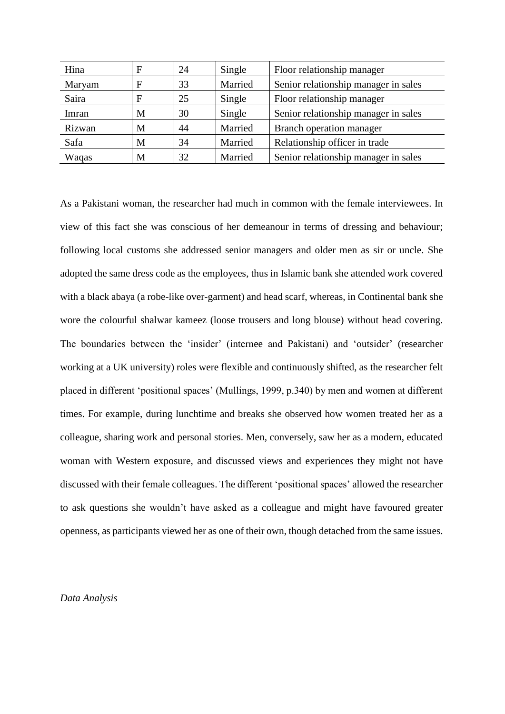| Hina   | F | 24 | Single  | Floor relationship manager           |
|--------|---|----|---------|--------------------------------------|
| Maryam | F | 33 | Married | Senior relationship manager in sales |
| Saira  | F | 25 | Single  | Floor relationship manager           |
| Imran  | М | 30 | Single  | Senior relationship manager in sales |
| Rizwan | М | 44 | Married | Branch operation manager             |
| Safa   | М | 34 | Married | Relationship officer in trade        |
| Waqas  | М | 32 | Married | Senior relationship manager in sales |

As a Pakistani woman, the researcher had much in common with the female interviewees. In view of this fact she was conscious of her demeanour in terms of dressing and behaviour; following local customs she addressed senior managers and older men as sir or uncle. She adopted the same dress code as the employees, thus in Islamic bank she attended work covered with a black abaya (a robe-like over-garment) and head scarf, whereas, in Continental bank she wore the colourful shalwar kameez (loose trousers and long blouse) without head covering. The boundaries between the 'insider' (internee and Pakistani) and 'outsider' (researcher working at a UK university) roles were flexible and continuously shifted, as the researcher felt placed in different 'positional spaces' (Mullings, 1999, p.340) by men and women at different times. For example, during lunchtime and breaks she observed how women treated her as a colleague, sharing work and personal stories. Men, conversely, saw her as a modern, educated woman with Western exposure, and discussed views and experiences they might not have discussed with their female colleagues. The different 'positional spaces' allowed the researcher to ask questions she wouldn't have asked as a colleague and might have favoured greater openness, as participants viewed her as one of their own, though detached from the same issues.

#### *Data Analysis*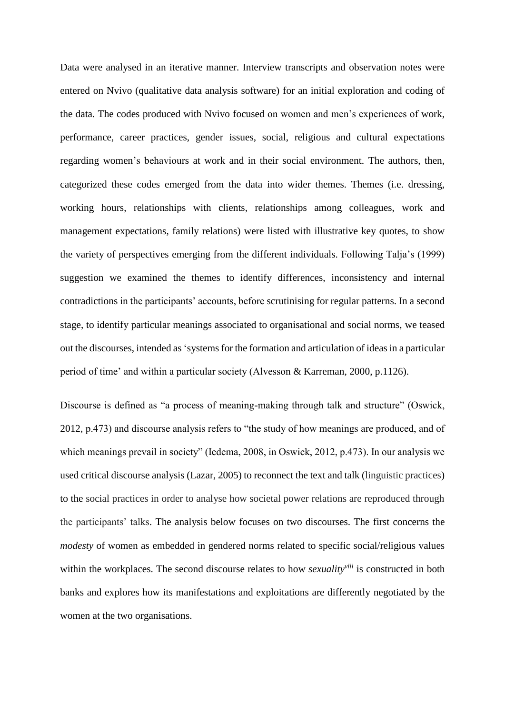Data were analysed in an iterative manner. Interview transcripts and observation notes were entered on Nvivo (qualitative data analysis software) for an initial exploration and coding of the data. The codes produced with Nvivo focused on women and men's experiences of work, performance, career practices, gender issues, social, religious and cultural expectations regarding women's behaviours at work and in their social environment. The authors, then, categorized these codes emerged from the data into wider themes. Themes (i.e. dressing, working hours, relationships with clients, relationships among colleagues, work and management expectations, family relations) were listed with illustrative key quotes, to show the variety of perspectives emerging from the different individuals. Following Talja's (1999) suggestion we examined the themes to identify differences, inconsistency and internal contradictions in the participants' accounts, before scrutinising for regular patterns. In a second stage, to identify particular meanings associated to organisational and social norms, we teased out the discourses, intended as 'systems for the formation and articulation of ideas in a particular period of time' and within a particular society (Alvesson & Karreman, 2000, p.1126).

Discourse is defined as "a process of meaning-making through talk and structure" (Oswick, 2012, p.473) and discourse analysis refers to "the study of how meanings are produced, and of which meanings prevail in society" (Iedema, 2008, in Oswick, 2012, p.473). In our analysis we used critical discourse analysis (Lazar, 2005) to reconnect the text and talk (linguistic practices) to the social practices in order to analyse how societal power relations are reproduced through the participants' talks. The analysis below focuses on two discourses. The first concerns the *modesty* of women as embedded in gendered norms related to specific social/religious values within the workplaces. The second discourse relates to how *sexualityviii* is constructed in both banks and explores how its manifestations and exploitations are differently negotiated by the women at the two organisations.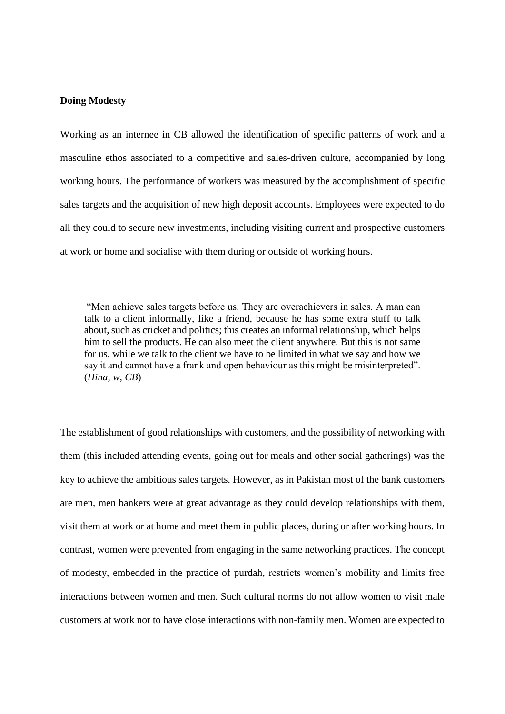#### **Doing Modesty**

Working as an internee in CB allowed the identification of specific patterns of work and a masculine ethos associated to a competitive and sales-driven culture, accompanied by long working hours. The performance of workers was measured by the accomplishment of specific sales targets and the acquisition of new high deposit accounts. Employees were expected to do all they could to secure new investments, including visiting current and prospective customers at work or home and socialise with them during or outside of working hours.

"Men achieve sales targets before us. They are overachievers in sales. A man can talk to a client informally, like a friend, because he has some extra stuff to talk about, such as cricket and politics; this creates an informal relationship, which helps him to sell the products. He can also meet the client anywhere. But this is not same for us, while we talk to the client we have to be limited in what we say and how we say it and cannot have a frank and open behaviour as this might be misinterpreted". (*Hina, w, CB*)

The establishment of good relationships with customers, and the possibility of networking with them (this included attending events, going out for meals and other social gatherings) was the key to achieve the ambitious sales targets. However, as in Pakistan most of the bank customers are men, men bankers were at great advantage as they could develop relationships with them, visit them at work or at home and meet them in public places, during or after working hours. In contrast, women were prevented from engaging in the same networking practices. The concept of modesty, embedded in the practice of purdah, restricts women's mobility and limits free interactions between women and men. Such cultural norms do not allow women to visit male customers at work nor to have close interactions with non-family men. Women are expected to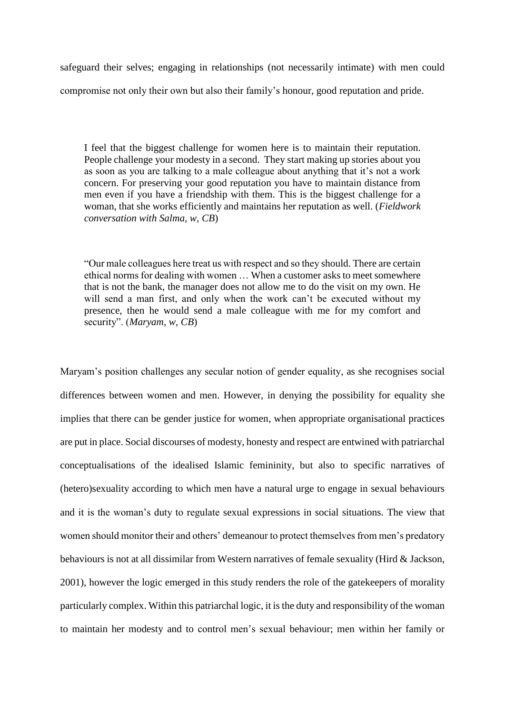safeguard their selves; engaging in relationships (not necessarily intimate) with men could compromise not only their own but also their family's honour, good reputation and pride.

I feel that the biggest challenge for women here is to maintain their reputation. People challenge your modesty in a second. They start making up stories about you as soon as you are talking to a male colleague about anything that it's not a work concern. For preserving your good reputation you have to maintain distance from men even if you have a friendship with them. This is the biggest challenge for a woman, that she works efficiently and maintains her reputation as well. (*Fieldwork conversation with Salma, w, CB*)

"Our male colleagues here treat us with respect and so they should. There are certain ethical norms for dealing with women … When a customer asks to meet somewhere that is not the bank, the manager does not allow me to do the visit on my own. He will send a man first, and only when the work can't be executed without my presence, then he would send a male colleague with me for my comfort and security". (*Maryam, w, CB*)

Maryam's position challenges any secular notion of gender equality, as she recognises social differences between women and men. However, in denying the possibility for equality she implies that there can be gender justice for women, when appropriate organisational practices are put in place. Social discourses of modesty, honesty and respect are entwined with patriarchal conceptualisations of the idealised Islamic femininity, but also to specific narratives of (hetero)sexuality according to which men have a natural urge to engage in sexual behaviours and it is the woman's duty to regulate sexual expressions in social situations. The view that women should monitor their and others' demeanour to protect themselves from men's predatory behaviours is not at all dissimilar from Western narratives of female sexuality (Hird & Jackson, 2001), however the logic emerged in this study renders the role of the gatekeepers of morality particularly complex. Within this patriarchal logic, it is the duty and responsibility of the woman to maintain her modesty and to control men's sexual behaviour; men within her family or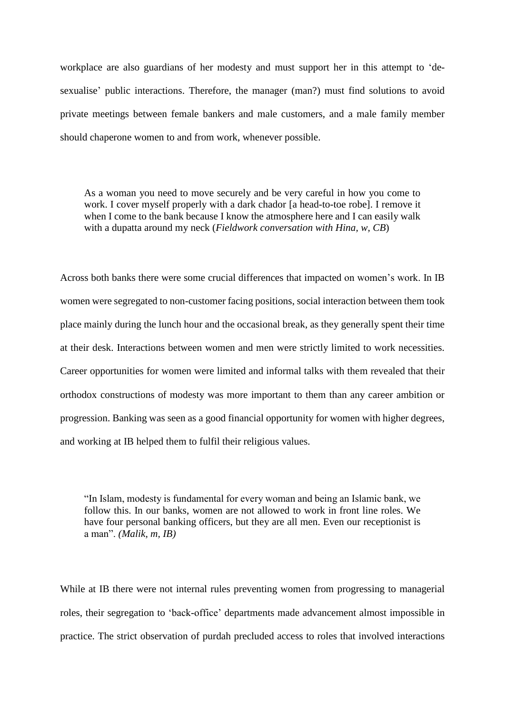workplace are also guardians of her modesty and must support her in this attempt to 'desexualise' public interactions. Therefore, the manager (man?) must find solutions to avoid private meetings between female bankers and male customers, and a male family member should chaperone women to and from work, whenever possible.

As a woman you need to move securely and be very careful in how you come to work. I cover myself properly with a dark chador [a head-to-toe robe]. I remove it when I come to the bank because I know the atmosphere here and I can easily walk with a dupatta around my neck (*Fieldwork conversation with Hina, w, CB*)

Across both banks there were some crucial differences that impacted on women's work. In IB women were segregated to non-customer facing positions, social interaction between them took place mainly during the lunch hour and the occasional break, as they generally spent their time at their desk. Interactions between women and men were strictly limited to work necessities. Career opportunities for women were limited and informal talks with them revealed that their orthodox constructions of modesty was more important to them than any career ambition or progression. Banking was seen as a good financial opportunity for women with higher degrees, and working at IB helped them to fulfil their religious values.

"In Islam, modesty is fundamental for every woman and being an Islamic bank, we follow this. In our banks, women are not allowed to work in front line roles. We have four personal banking officers, but they are all men. Even our receptionist is a man". *(Malik, m, IB)*

While at IB there were not internal rules preventing women from progressing to managerial roles, their segregation to 'back-office' departments made advancement almost impossible in practice. The strict observation of purdah precluded access to roles that involved interactions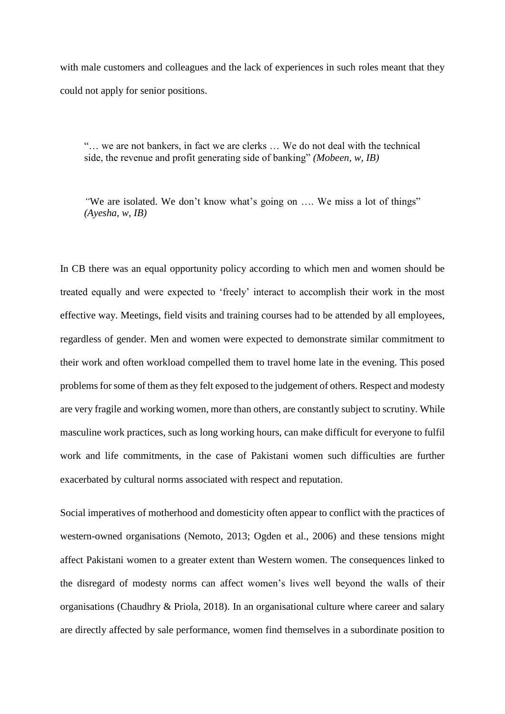with male customers and colleagues and the lack of experiences in such roles meant that they could not apply for senior positions.

"… we are not bankers, in fact we are clerks … We do not deal with the technical side, the revenue and profit generating side of banking" *(Mobeen, w, IB)*

*"*We are isolated. We don't know what's going on …. We miss a lot of things" *(Ayesha, w, IB)*

In CB there was an equal opportunity policy according to which men and women should be treated equally and were expected to 'freely' interact to accomplish their work in the most effective way. Meetings, field visits and training courses had to be attended by all employees, regardless of gender. Men and women were expected to demonstrate similar commitment to their work and often workload compelled them to travel home late in the evening. This posed problems for some of them as they felt exposed to the judgement of others. Respect and modesty are very fragile and working women, more than others, are constantly subject to scrutiny. While masculine work practices, such as long working hours, can make difficult for everyone to fulfil work and life commitments, in the case of Pakistani women such difficulties are further exacerbated by cultural norms associated with respect and reputation.

Social imperatives of motherhood and domesticity often appear to conflict with the practices of western-owned organisations (Nemoto, 2013; Ogden et al., 2006) and these tensions might affect Pakistani women to a greater extent than Western women. The consequences linked to the disregard of modesty norms can affect women's lives well beyond the walls of their organisations (Chaudhry & Priola, 2018). In an organisational culture where career and salary are directly affected by sale performance, women find themselves in a subordinate position to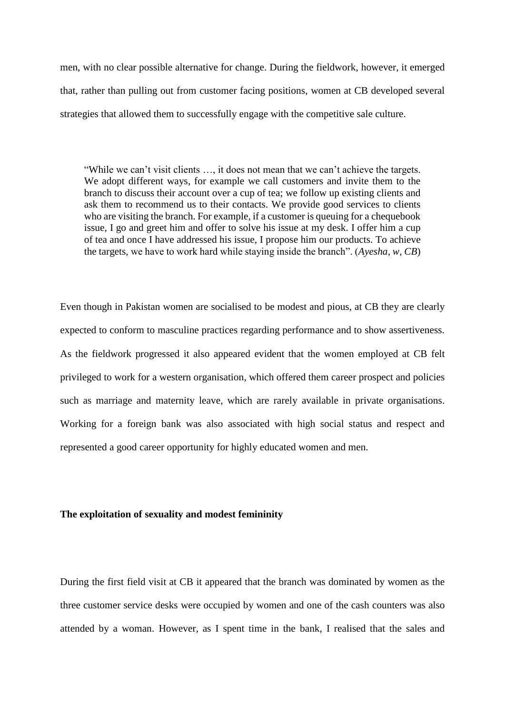men, with no clear possible alternative for change. During the fieldwork, however, it emerged that, rather than pulling out from customer facing positions, women at CB developed several strategies that allowed them to successfully engage with the competitive sale culture.

"While we can't visit clients …, it does not mean that we can't achieve the targets. We adopt different ways, for example we call customers and invite them to the branch to discuss their account over a cup of tea; we follow up existing clients and ask them to recommend us to their contacts. We provide good services to clients who are visiting the branch. For example, if a customer is queuing for a chequebook issue, I go and greet him and offer to solve his issue at my desk. I offer him a cup of tea and once I have addressed his issue, I propose him our products. To achieve the targets, we have to work hard while staying inside the branch". (*Ayesha, w, CB*)

Even though in Pakistan women are socialised to be modest and pious, at CB they are clearly expected to conform to masculine practices regarding performance and to show assertiveness. As the fieldwork progressed it also appeared evident that the women employed at CB felt privileged to work for a western organisation, which offered them career prospect and policies such as marriage and maternity leave, which are rarely available in private organisations. Working for a foreign bank was also associated with high social status and respect and represented a good career opportunity for highly educated women and men.

#### **The exploitation of sexuality and modest femininity**

During the first field visit at CB it appeared that the branch was dominated by women as the three customer service desks were occupied by women and one of the cash counters was also attended by a woman. However, as I spent time in the bank, I realised that the sales and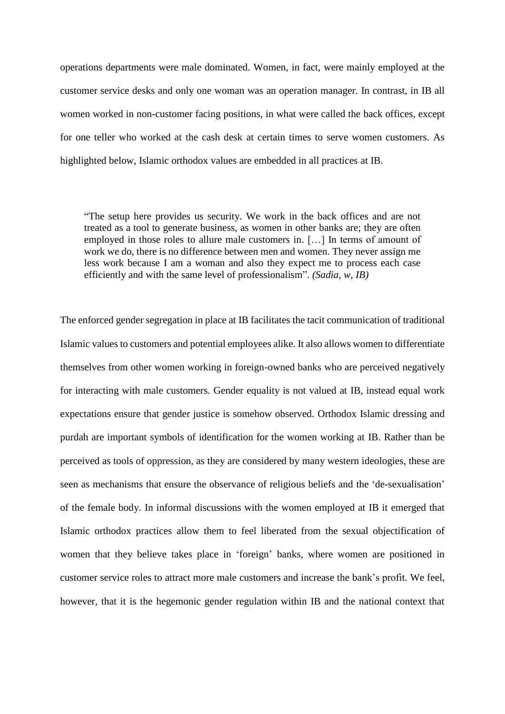operations departments were male dominated. Women, in fact, were mainly employed at the customer service desks and only one woman was an operation manager. In contrast, in IB all women worked in non-customer facing positions, in what were called the back offices, except for one teller who worked at the cash desk at certain times to serve women customers. As highlighted below, Islamic orthodox values are embedded in all practices at IB.

"The setup here provides us security. We work in the back offices and are not treated as a tool to generate business, as women in other banks are; they are often employed in those roles to allure male customers in. […] In terms of amount of work we do, there is no difference between men and women. They never assign me less work because I am a woman and also they expect me to process each case efficiently and with the same level of professionalism". *(Sadia, w, IB)*

The enforced gender segregation in place at IB facilitates the tacit communication of traditional Islamic values to customers and potential employees alike. It also allows women to differentiate themselves from other women working in foreign-owned banks who are perceived negatively for interacting with male customers. Gender equality is not valued at IB, instead equal work expectations ensure that gender justice is somehow observed. Orthodox Islamic dressing and purdah are important symbols of identification for the women working at IB. Rather than be perceived as tools of oppression, as they are considered by many western ideologies, these are seen as mechanisms that ensure the observance of religious beliefs and the 'de-sexualisation' of the female body. In informal discussions with the women employed at IB it emerged that Islamic orthodox practices allow them to feel liberated from the sexual objectification of women that they believe takes place in 'foreign' banks, where women are positioned in customer service roles to attract more male customers and increase the bank's profit. We feel, however, that it is the hegemonic gender regulation within IB and the national context that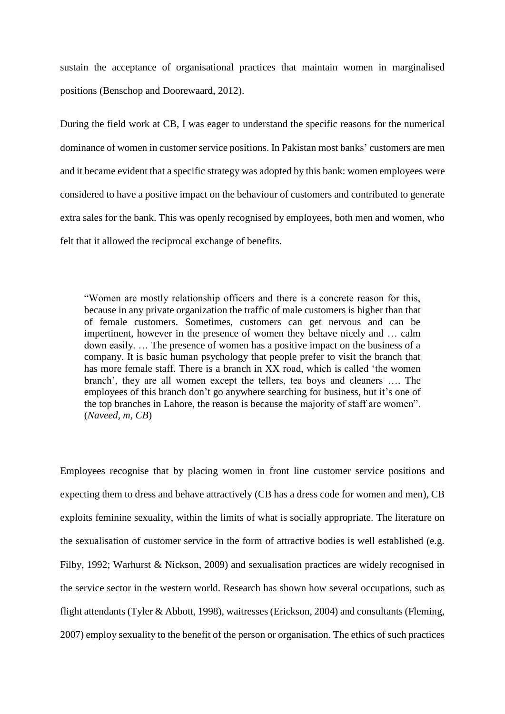sustain the acceptance of organisational practices that maintain women in marginalised positions (Benschop and Doorewaard, 2012).

During the field work at CB, I was eager to understand the specific reasons for the numerical dominance of women in customer service positions. In Pakistan most banks' customers are men and it became evident that a specific strategy was adopted by this bank: women employees were considered to have a positive impact on the behaviour of customers and contributed to generate extra sales for the bank. This was openly recognised by employees, both men and women, who felt that it allowed the reciprocal exchange of benefits.

"Women are mostly relationship officers and there is a concrete reason for this, because in any private organization the traffic of male customers is higher than that of female customers. Sometimes, customers can get nervous and can be impertinent, however in the presence of women they behave nicely and … calm down easily. … The presence of women has a positive impact on the business of a company. It is basic human psychology that people prefer to visit the branch that has more female staff. There is a branch in XX road, which is called 'the women branch', they are all women except the tellers, tea boys and cleaners …. The employees of this branch don't go anywhere searching for business, but it's one of the top branches in Lahore, the reason is because the majority of staff are women". (*Naveed, m, CB*)

Employees recognise that by placing women in front line customer service positions and expecting them to dress and behave attractively (CB has a dress code for women and men), CB exploits feminine sexuality, within the limits of what is socially appropriate. The literature on the sexualisation of customer service in the form of attractive bodies is well established (e.g. Filby, 1992; Warhurst & Nickson, 2009) and sexualisation practices are widely recognised in the service sector in the western world. Research has shown how several occupations, such as flight attendants (Tyler & Abbott, 1998), waitresses (Erickson, 2004) and consultants (Fleming, 2007) employ sexuality to the benefit of the person or organisation. The ethics of such practices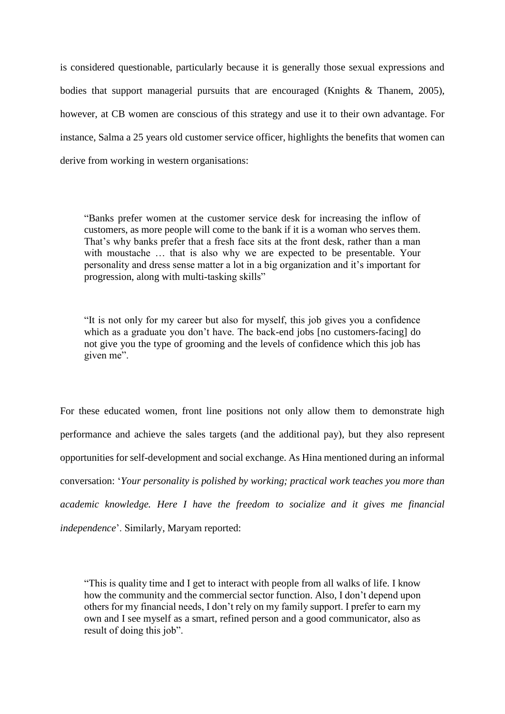is considered questionable, particularly because it is generally those sexual expressions and bodies that support managerial pursuits that are encouraged (Knights & Thanem, 2005), however, at CB women are conscious of this strategy and use it to their own advantage. For instance, Salma a 25 years old customer service officer, highlights the benefits that women can derive from working in western organisations:

"Banks prefer women at the customer service desk for increasing the inflow of customers, as more people will come to the bank if it is a woman who serves them. That's why banks prefer that a fresh face sits at the front desk, rather than a man with moustache … that is also why we are expected to be presentable. Your personality and dress sense matter a lot in a big organization and it's important for progression, along with multi-tasking skills"

"It is not only for my career but also for myself, this job gives you a confidence which as a graduate you don't have. The back-end jobs [no customers-facing] do not give you the type of grooming and the levels of confidence which this job has given me".

For these educated women, front line positions not only allow them to demonstrate high performance and achieve the sales targets (and the additional pay), but they also represent opportunities for self-development and social exchange. As Hina mentioned during an informal conversation: '*Your personality is polished by working; practical work teaches you more than academic knowledge. Here I have the freedom to socialize and it gives me financial independence*'. Similarly, Maryam reported:

<sup>&</sup>quot;This is quality time and I get to interact with people from all walks of life. I know how the community and the commercial sector function. Also, I don't depend upon others for my financial needs, I don't rely on my family support. I prefer to earn my own and I see myself as a smart, refined person and a good communicator, also as result of doing this job".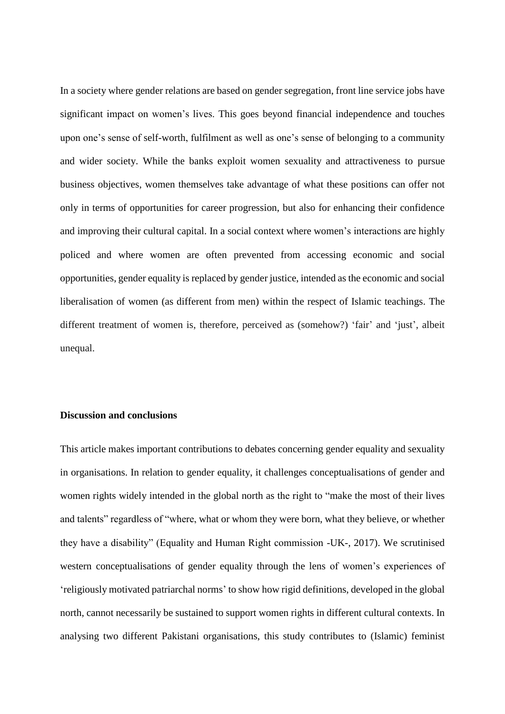In a society where gender relations are based on gender segregation, front line service jobs have significant impact on women's lives. This goes beyond financial independence and touches upon one's sense of self-worth, fulfilment as well as one's sense of belonging to a community and wider society. While the banks exploit women sexuality and attractiveness to pursue business objectives, women themselves take advantage of what these positions can offer not only in terms of opportunities for career progression, but also for enhancing their confidence and improving their cultural capital. In a social context where women's interactions are highly policed and where women are often prevented from accessing economic and social opportunities, gender equality is replaced by gender justice, intended as the economic and social liberalisation of women (as different from men) within the respect of Islamic teachings. The different treatment of women is, therefore, perceived as (somehow?) 'fair' and 'just', albeit unequal.

#### **Discussion and conclusions**

This article makes important contributions to debates concerning gender equality and sexuality in organisations. In relation to gender equality, it challenges conceptualisations of gender and women rights widely intended in the global north as the right to "make the most of their lives and talents" regardless of "where, what or whom they were born, what they believe, or whether they have a disability" (Equality and Human Right commission -UK-, 2017). We scrutinised western conceptualisations of gender equality through the lens of women's experiences of 'religiously motivated patriarchal norms' to show how rigid definitions, developed in the global north, cannot necessarily be sustained to support women rights in different cultural contexts. In analysing two different Pakistani organisations, this study contributes to (Islamic) feminist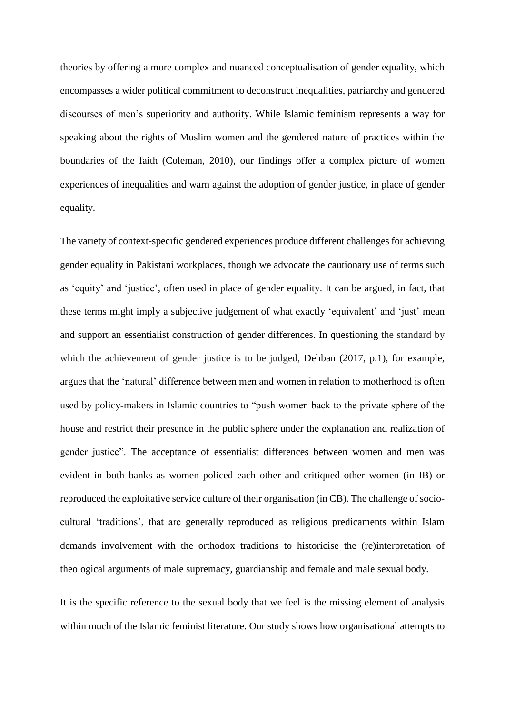theories by offering a more complex and nuanced conceptualisation of gender equality, which encompasses a wider political commitment to deconstruct inequalities, patriarchy and gendered discourses of men's superiority and authority. While Islamic feminism represents a way for speaking about the rights of Muslim women and the gendered nature of practices within the boundaries of the faith (Coleman, 2010), our findings offer a complex picture of women experiences of inequalities and warn against the adoption of gender justice, in place of gender equality.

The variety of context-specific gendered experiences produce different challenges for achieving gender equality in Pakistani workplaces, though we advocate the cautionary use of terms such as 'equity' and 'justice', often used in place of gender equality. It can be argued, in fact, that these terms might imply a subjective judgement of what exactly 'equivalent' and 'just' mean and support an essentialist construction of gender differences. In questioning the standard by which the achievement of gender justice is to be judged, Dehban (2017, p.1), for example, argues that the 'natural' difference between men and women in relation to motherhood is often used by policy-makers in Islamic countries to "push women back to the private sphere of the house and restrict their presence in the public sphere under the explanation and realization of gender justice". The acceptance of essentialist differences between women and men was evident in both banks as women policed each other and critiqued other women (in IB) or reproduced the exploitative service culture of their organisation (in CB). The challenge of sociocultural 'traditions', that are generally reproduced as religious predicaments within Islam demands involvement with the orthodox traditions to historicise the (re)interpretation of theological arguments of male supremacy, guardianship and female and male sexual body.

It is the specific reference to the sexual body that we feel is the missing element of analysis within much of the Islamic feminist literature. Our study shows how organisational attempts to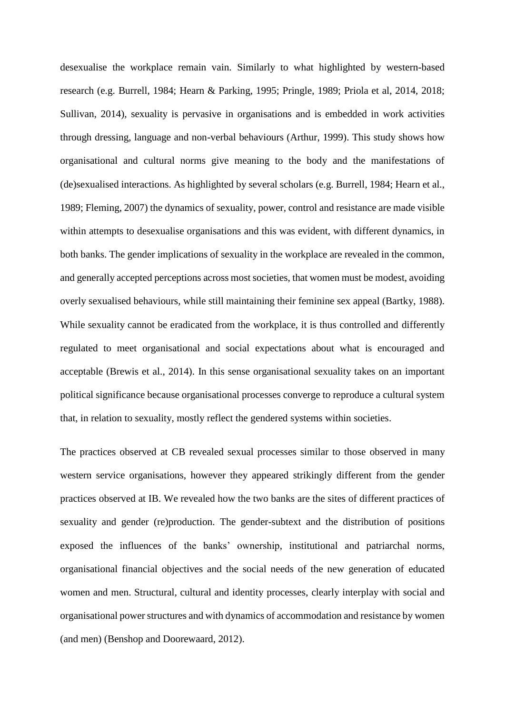desexualise the workplace remain vain. Similarly to what highlighted by western-based research (e.g. Burrell, 1984; Hearn & Parking, 1995; Pringle, 1989; Priola et al, 2014, 2018; Sullivan, 2014), sexuality is pervasive in organisations and is embedded in work activities through dressing, language and non-verbal behaviours (Arthur, 1999). This study shows how organisational and cultural norms give meaning to the body and the manifestations of (de)sexualised interactions. As highlighted by several scholars (e.g. Burrell, 1984; Hearn et al., 1989; Fleming, 2007) the dynamics of sexuality, power, control and resistance are made visible within attempts to desexualise organisations and this was evident, with different dynamics, in both banks. The gender implications of sexuality in the workplace are revealed in the common, and generally accepted perceptions across most societies, that women must be modest, avoiding overly sexualised behaviours, while still maintaining their feminine sex appeal (Bartky, 1988). While sexuality cannot be eradicated from the workplace, it is thus controlled and differently regulated to meet organisational and social expectations about what is encouraged and acceptable (Brewis et al., 2014). In this sense organisational sexuality takes on an important political significance because organisational processes converge to reproduce a cultural system that, in relation to sexuality, mostly reflect the gendered systems within societies.

The practices observed at CB revealed sexual processes similar to those observed in many western service organisations, however they appeared strikingly different from the gender practices observed at IB. We revealed how the two banks are the sites of different practices of sexuality and gender (re)production. The gender-subtext and the distribution of positions exposed the influences of the banks' ownership, institutional and patriarchal norms, organisational financial objectives and the social needs of the new generation of educated women and men. Structural, cultural and identity processes, clearly interplay with social and organisational power structures and with dynamics of accommodation and resistance by women (and men) (Benshop and Doorewaard, 2012).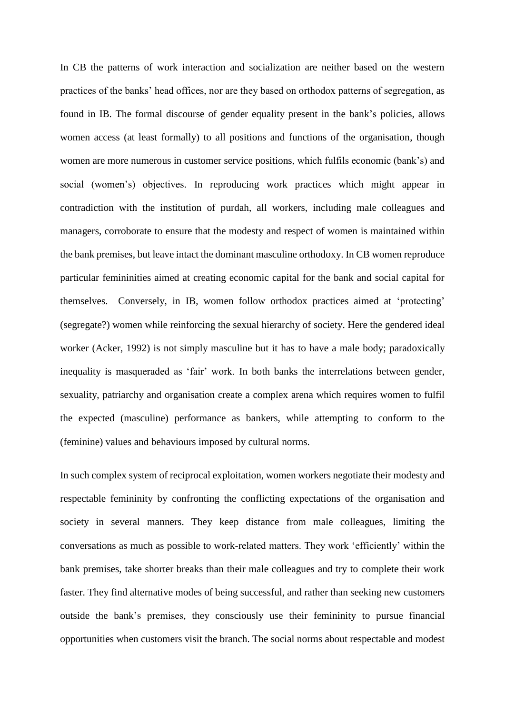In CB the patterns of work interaction and socialization are neither based on the western practices of the banks' head offices, nor are they based on orthodox patterns of segregation, as found in IB. The formal discourse of gender equality present in the bank's policies, allows women access (at least formally) to all positions and functions of the organisation, though women are more numerous in customer service positions, which fulfils economic (bank's) and social (women's) objectives. In reproducing work practices which might appear in contradiction with the institution of purdah, all workers, including male colleagues and managers, corroborate to ensure that the modesty and respect of women is maintained within the bank premises, but leave intact the dominant masculine orthodoxy. In CB women reproduce particular femininities aimed at creating economic capital for the bank and social capital for themselves. Conversely, in IB, women follow orthodox practices aimed at 'protecting' (segregate?) women while reinforcing the sexual hierarchy of society. Here the gendered ideal worker (Acker, 1992) is not simply masculine but it has to have a male body; paradoxically inequality is masqueraded as 'fair' work. In both banks the interrelations between gender, sexuality, patriarchy and organisation create a complex arena which requires women to fulfil the expected (masculine) performance as bankers, while attempting to conform to the (feminine) values and behaviours imposed by cultural norms.

In such complex system of reciprocal exploitation, women workers negotiate their modesty and respectable femininity by confronting the conflicting expectations of the organisation and society in several manners. They keep distance from male colleagues, limiting the conversations as much as possible to work-related matters. They work 'efficiently' within the bank premises, take shorter breaks than their male colleagues and try to complete their work faster. They find alternative modes of being successful, and rather than seeking new customers outside the bank's premises, they consciously use their femininity to pursue financial opportunities when customers visit the branch. The social norms about respectable and modest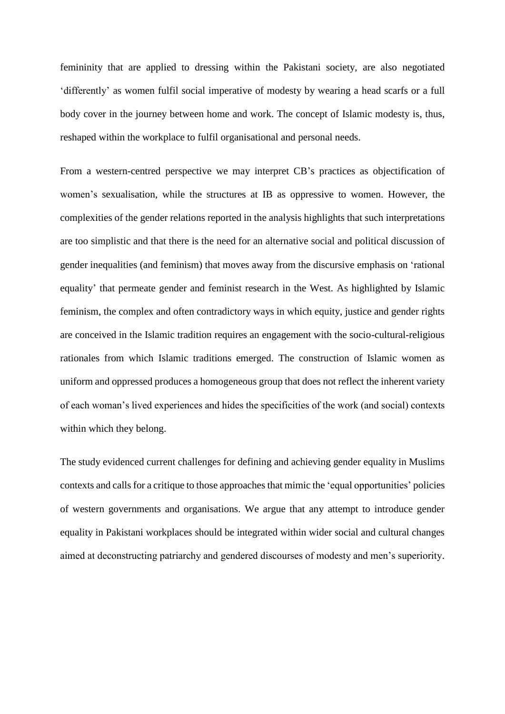femininity that are applied to dressing within the Pakistani society, are also negotiated 'differently' as women fulfil social imperative of modesty by wearing a head scarfs or a full body cover in the journey between home and work. The concept of Islamic modesty is, thus, reshaped within the workplace to fulfil organisational and personal needs.

From a western-centred perspective we may interpret CB's practices as objectification of women's sexualisation, while the structures at IB as oppressive to women. However, the complexities of the gender relations reported in the analysis highlights that such interpretations are too simplistic and that there is the need for an alternative social and political discussion of gender inequalities (and feminism) that moves away from the discursive emphasis on 'rational equality' that permeate gender and feminist research in the West. As highlighted by Islamic feminism, the complex and often contradictory ways in which equity, justice and gender rights are conceived in the Islamic tradition requires an engagement with the socio-cultural-religious rationales from which Islamic traditions emerged. The construction of Islamic women as uniform and oppressed produces a homogeneous group that does not reflect the inherent variety of each woman's lived experiences and hides the specificities of the work (and social) contexts within which they belong.

The study evidenced current challenges for defining and achieving gender equality in Muslims contexts and calls for a critique to those approaches that mimic the 'equal opportunities' policies of western governments and organisations. We argue that any attempt to introduce gender equality in Pakistani workplaces should be integrated within wider social and cultural changes aimed at deconstructing patriarchy and gendered discourses of modesty and men's superiority.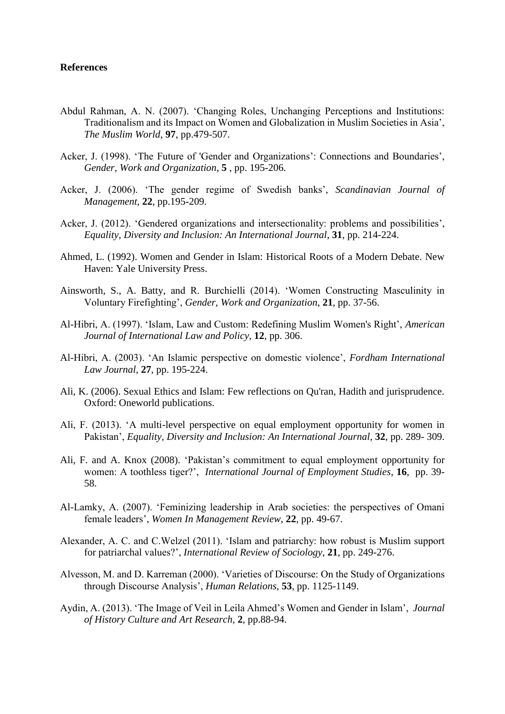#### **References**

- Abdul Rahman, A. N. (2007). 'Changing Roles, Unchanging Perceptions and Institutions: Traditionalism and its Impact on Women and Globalization in Muslim Societies in Asia', *The Muslim World*, **97**, pp.479-507.
- Acker, J. (1998). 'The Future of 'Gender and Organizations': Connections and Boundaries', *Gender, Work and Organization*, **5** , pp. 195-206.
- Acker, J. (2006). 'The gender regime of Swedish banks', *Scandinavian Journal of Management*, **22**, pp.195-209.
- Acker, J. (2012). 'Gendered organizations and intersectionality: problems and possibilities', *Equality, Diversity and Inclusion: An International Journal*, **31**, pp. 214-224.
- Ahmed, L. (1992). Women and Gender in Islam: Historical Roots of a Modern Debate. New Haven: Yale University Press.
- Ainsworth, S., A. Batty, and R. Burchielli (2014). 'Women Constructing Masculinity in Voluntary Firefighting', *Gender, Work and Organization*, **21**, pp. 37-56.
- Al-Hibri, A. (1997). 'Islam, Law and Custom: Redefining Muslim Women's Right', *American Journal of International Law and Policy*, **12**, pp. 306.
- Al-Hibri, A. (2003). 'An Islamic perspective on domestic violence', *Fordham International Law Journal*, **27**, pp. 195-224.
- Ali, K. (2006). Sexual Ethics and Islam: Few reflections on Qu'ran, Hadith and jurisprudence. Oxford: Oneworld publications.
- Ali, F. (2013). 'A multi-level perspective on equal employment opportunity for women in Pakistan', *Equality, Diversity and Inclusion: An International Journal*, **32**, pp. 289- 309.
- Ali, F. and A. Knox (2008). 'Pakistan's commitment to equal employment opportunity for women: A toothless tiger?', *International Journal of Employment Studies*, **16**, pp. 39- 58.
- Al-Lamky, A. (2007). 'Feminizing leadership in Arab societies: the perspectives of Omani female leaders', *Women In Management Review*, **22**, pp. 49-67.
- Alexander, A. C. and C.Welzel (2011). 'Islam and patriarchy: how robust is Muslim support for patriarchal values?', *International Review of Sociology*, **21**, pp. 249-276.
- Alvesson, M. and D. Karreman (2000). 'Varieties of Discourse: On the Study of Organizations through Discourse Analysis', *Human Relations*, **53**, pp. 1125-1149.
- Aydin, A. (2013). 'The Image of Veil in Leila Ahmed's Women and Gender in Islam', *Journal of History Culture and Art Research*, **2**, pp.88-94.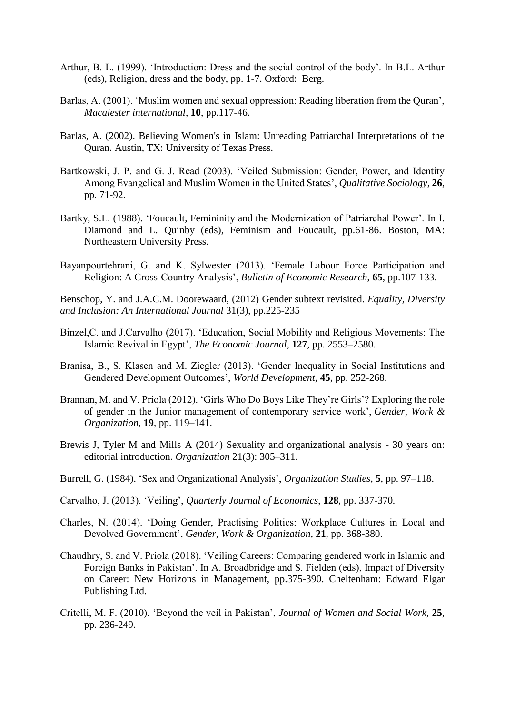- Arthur, B. L. (1999). 'Introduction: Dress and the social control of the body'. In B.L. Arthur (eds), Religion, dress and the body, pp. 1-7. Oxford: Berg.
- Barlas, A. (2001). 'Muslim women and sexual oppression: Reading liberation from the Quran', *Macalester international*, **10**, pp.117-46.
- Barlas, A. (2002). Believing Women's in Islam: Unreading Patriarchal Interpretations of the Quran. Austin, TX: University of Texas Press.
- Bartkowski, J. P. and G. J. Read (2003). 'Veiled Submission: Gender, Power, and Identity Among Evangelical and Muslim Women in the United States', *Qualitative Sociology*, **26**, pp. 71-92.
- Bartky, S.L. (1988). 'Foucault, Femininity and the Modernization of Patriarchal Power'. In I. Diamond and L. Quinby (eds), Feminism and Foucault, pp.61-86. Boston, MA: Northeastern University Press.
- Bayanpourtehrani, G. and K. Sylwester (2013). 'Female Labour Force Participation and Religion: A Cross-Country Analysis', *Bulletin of Economic Research*, **65**, pp.107-133.

Benschop, Y. and J.A.C.M. Doorewaard, (2012) Gender subtext revisited. *Equality, Diversity and Inclusion: An International Journal* 31(3), pp.225-235

- Binzel,C. and J.Carvalho (2017). 'Education, Social Mobility and Religious Movements: The Islamic Revival in Egypt', *The Economic Journal*, **127**, pp. 2553–2580.
- Branisa, B., S. Klasen and M. Ziegler (2013). 'Gender Inequality in Social Institutions and Gendered Development Outcomes', *World Development*, **45**, pp. 252-268.
- Brannan, M. and V. Priola (2012). 'Girls Who Do Boys Like They're Girls'? Exploring the role of gender in the Junior management of contemporary service work', *Gender, Work & Organization*, **19**, pp. 119–141.
- Brewis J, Tyler M and Mills A (2014) Sexuality and organizational analysis 30 years on: editorial introduction. *Organization* 21(3): 305–311.
- Burrell, G. (1984). 'Sex and Organizational Analysis', *Organization Studies*, **5**, pp. 97–118.
- Carvalho, J. (2013). 'Veiling', *Quarterly Journal of Economics*, **128**, pp. 337-370*.*
- Charles, N. (2014). 'Doing Gender, Practising Politics: Workplace Cultures in Local and Devolved Government', *Gender, Work & Organization*, **21**, pp. 368-380.
- Chaudhry, S. and V. Priola (2018). 'Veiling Careers: Comparing gendered work in Islamic and Foreign Banks in Pakistan'. In A. Broadbridge and S. Fielden (eds), Impact of Diversity on Career: New Horizons in Management, pp.375-390. Cheltenham: Edward Elgar Publishing Ltd.
- Critelli, M. F. (2010). 'Beyond the veil in Pakistan', *Journal of Women and Social Work*, **25**, pp. 236-249.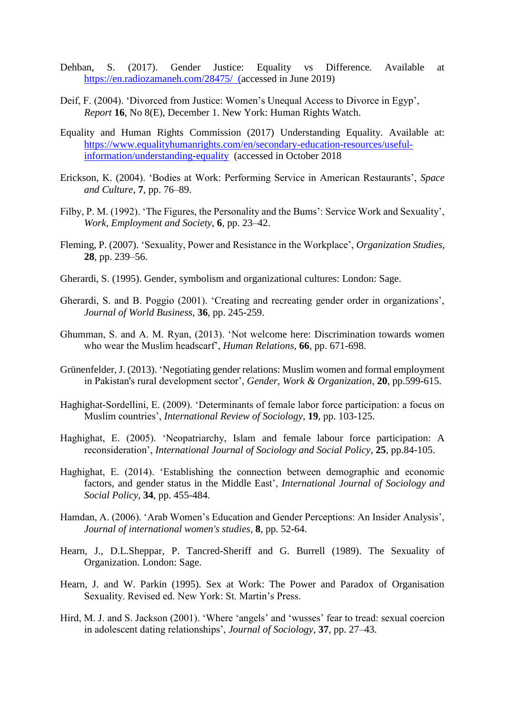- Dehban, S. (2017). Gender Justice: Equality vs Difference. Available at <https://en.radiozamaneh.com/28475/>(accessed in June 2019)
- Deif, F. (2004). 'Divorced from Justice: Women's Unequal Access to Divorce in Egyp', *Report* **16**, No 8(E), December 1. New York: Human Rights Watch.
- Equality and Human Rights Commission (2017) Understanding Equality. Available at: [https://www.equalityhumanrights.com/en/secondary-education-resources/useful](https://www.equalityhumanrights.com/en/secondary-education-resources/useful-information/understanding-equality)[information/understanding-equality](https://www.equalityhumanrights.com/en/secondary-education-resources/useful-information/understanding-equality) (accessed in October 2018
- Erickson, K. (2004). 'Bodies at Work: Performing Service in American Restaurants', *Space and Culture*, **7**, pp. 76–89.
- Filby, P. M. (1992). 'The Figures, the Personality and the Bums': Service Work and Sexuality', *Work, Employment and Society*, **6**, pp. 23–42.
- Fleming, P. (2007). 'Sexuality, Power and Resistance in the Workplace', *Organization Studies*, **28**, pp. 239–56.
- Gherardi, S. (1995). Gender, symbolism and organizational cultures: London: Sage.
- Gherardi, S. and B. Poggio (2001). 'Creating and recreating gender order in organizations', *Journal of World Business*, **36**, pp. 245-259.
- Ghumman, S. and A. M. Ryan, (2013). 'Not welcome here: Discrimination towards women who wear the Muslim headscarf', *Human Relations*, **66**, pp. 671-698.
- Grünenfelder, J. (2013). 'Negotiating gender relations: Muslim women and formal employment in Pakistan's rural development sector', *Gender, Work & Organization*, **20**, pp.599-615.
- Haghighat-Sordellini, E. (2009). 'Determinants of female labor force participation: a focus on Muslim countries', *International Review of Sociology*, **19**, pp. 103-125.
- Haghighat, E. (2005). 'Neopatriarchy, Islam and female labour force participation: A reconsideration', *International Journal of Sociology and Social Policy*, **25**, pp.84-105.
- Haghighat, E. (2014). 'Establishing the connection between demographic and economic factors, and gender status in the Middle East', *International Journal of Sociology and Social Policy,* **34**, pp. 455-484.
- Hamdan, A. (2006). 'Arab Women's Education and Gender Perceptions: An Insider Analysis', *Journal of international women's studies*, **8**, pp. 52-64.
- Hearn, J., D.L.Sheppar, P. Tancred-Sheriff and G. Burrell (1989). The Sexuality of Organization. London: Sage.
- Hearn, J. and W. Parkin (1995). Sex at Work: The Power and Paradox of Organisation Sexuality. Revised ed. New York: St. Martin's Press.
- Hird, M. J. and S. Jackson (2001). 'Where 'angels' and 'wusses' fear to tread: sexual coercion in adolescent dating relationships', *Journal of Sociology*, **37**, pp. 27–43.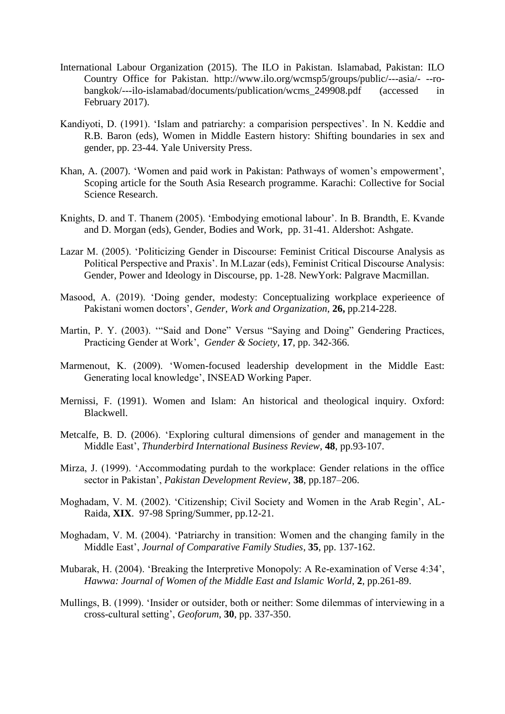- International Labour Organization (2015). The ILO in Pakistan. Islamabad, Pakistan: ILO Country Office for Pakistan. http://www.ilo.org/wcmsp5/groups/public/---asia/- --robangkok/---ilo-islamabad/documents/publication/wcms\_249908.pdf (accessed in February 2017).
- Kandiyoti, D. (1991). 'Islam and patriarchy: a comparision perspectives'. In N. Keddie and R.B. Baron (eds), Women in Middle Eastern history: Shifting boundaries in sex and gender, pp. 23-44. Yale University Press.
- Khan, A. (2007). 'Women and paid work in Pakistan: Pathways of women's empowerment', Scoping article for the South Asia Research programme. Karachi: Collective for Social Science Research.
- Knights, D. and T. Thanem (2005). 'Embodying emotional labour'. In B. Brandth, E. Kvande and D. Morgan (eds), Gender, Bodies and Work, pp. 31-41. Aldershot: Ashgate.
- Lazar M. (2005). 'Politicizing Gender in Discourse: Feminist Critical Discourse Analysis as Political Perspective and Praxis'. In M.Lazar (eds), Feminist Critical Discourse Analysis: Gender, Power and Ideology in Discourse, pp. 1-28. NewYork: Palgrave Macmillan.
- Masood, A. (2019). 'Doing gender, modesty: Conceptualizing workplace experieence of Pakistani women doctors', *Gender, Work and Organization*, **26,** pp.214-228.
- Martin, P. Y. (2003). '"Said and Done" Versus "Saying and Doing" Gendering Practices, Practicing Gender at Work', *Gender & Society*, **17**, pp. 342-366.
- Marmenout, K. (2009). 'Women-focused leadership development in the Middle East: Generating local knowledge', INSEAD Working Paper.
- Mernissi, F. (1991). Women and Islam: An historical and theological inquiry. Oxford: Blackwell.
- Metcalfe, B. D. (2006). 'Exploring cultural dimensions of gender and management in the Middle East', *Thunderbird International Business Review*, **48**, pp.93-107.
- Mirza, J. (1999). 'Accommodating purdah to the workplace: Gender relations in the office sector in Pakistan', *Pakistan Development Review*, **38**, pp.187–206.
- Moghadam, V. M. (2002). 'Citizenship; Civil Society and Women in the Arab Regin', AL-Raida, **XIX**. 97-98 Spring/Summer, pp.12-21.
- Moghadam, V. M. (2004). 'Patriarchy in transition: Women and the changing family in the Middle East', *Journal of Comparative Family Studies*, **35**, pp. 137-162.
- Mubarak, H. (2004). 'Breaking the Interpretive Monopoly: A Re-examination of Verse 4:34', *Hawwa: Journal of Women of the Middle East and Islamic World*, **2**, pp.261-89.
- Mullings, B. (1999). 'Insider or outsider, both or neither: Some dilemmas of interviewing in a cross-cultural setting', *Geoforum*, **30**, pp. 337-350.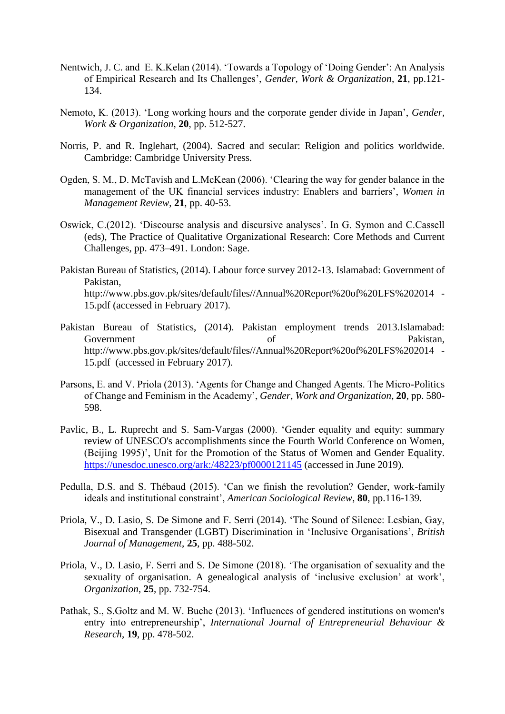- Nentwich, J. C. and E. K.Kelan (2014). 'Towards a Topology of 'Doing Gender': An Analysis of Empirical Research and Its Challenges', *Gender, Work & Organization*, **21**, pp.121- 134.
- Nemoto, K. (2013). 'Long working hours and the corporate gender divide in Japan', *Gender, Work & Organization*, **20**, pp. 512-527.
- Norris, P. and R. Inglehart, (2004). Sacred and secular: Religion and politics worldwide. Cambridge: Cambridge University Press.
- Ogden, S. M., D. McTavish and L.McKean (2006). 'Clearing the way for gender balance in the management of the UK financial services industry: Enablers and barriers', *Women in Management Review*, **21**, pp. 40-53.
- Oswick, C.(2012). 'Discourse analysis and discursive analyses'. In G. Symon and C.Cassell (eds), The Practice of Qualitative Organizational Research: Core Methods and Current Challenges, pp. 473–491. London: Sage.
- Pakistan Bureau of Statistics, (2014). Labour force survey 2012-13. Islamabad: Government of Pakistan, http://www.pbs.gov.pk/sites/default/files//Annual%20Report%20of%20LFS%202014 -15.pdf (accessed in February 2017).
- Pakistan Bureau of Statistics, (2014). Pakistan employment trends 2013.Islamabad: Government of Pakistan, http://www.pbs.gov.pk/sites/default/files//Annual%20Report%20of%20LFS%202014 -15.pdf (accessed in February 2017).
- Parsons, E. and V. Priola (2013). 'Agents for Change and Changed Agents. The Micro-Politics of Change and Feminism in the Academy', *Gender, Work and Organization*, **20**, pp. 580- 598.
- Pavlic, B., L. Ruprecht and S. Sam-Vargas (2000). 'Gender equality and equity: summary review of UNESCO's accomplishments since the Fourth World Conference on Women, (Beijing 1995)', Unit for the Promotion of the Status of Women and Gender Equality. <https://unesdoc.unesco.org/ark:/48223/pf0000121145> (accessed in June 2019).
- Pedulla, D.S. and S. Thébaud (2015). 'Can we finish the revolution? Gender, work-family ideals and institutional constraint', *American Sociological Review*, **80**, pp.116-139.
- Priola, V., D. Lasio, S. De Simone and F. Serri (2014). 'The Sound of Silence: Lesbian, Gay, Bisexual and Transgender (LGBT) Discrimination in 'Inclusive Organisations', *British Journal of Management*, **25**, pp. 488-502.
- Priola, V., D. Lasio, F. Serri and S. De Simone (2018). 'The organisation of sexuality and the sexuality of organisation. A genealogical analysis of 'inclusive exclusion' at work', *Organization*, **25**, pp. 732-754.
- Pathak, S., S.Goltz and M. W. Buche (2013). 'Influences of gendered institutions on women's entry into entrepreneurship', *International Journal of Entrepreneurial Behaviour & Research*, **19**, pp. 478-502.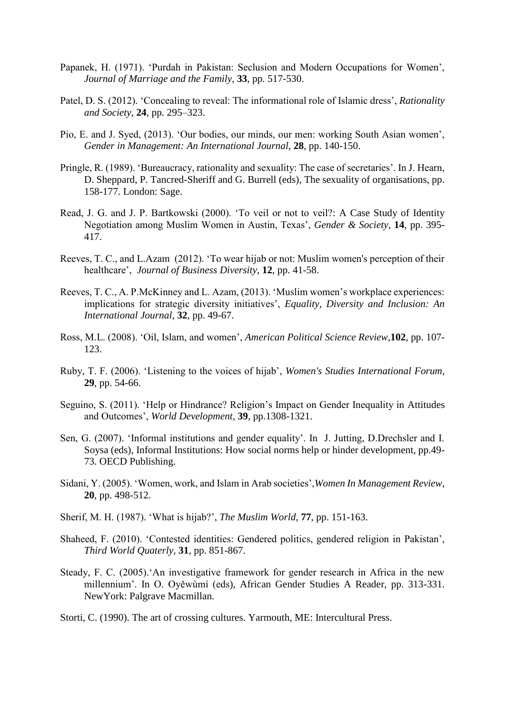- Papanek, H. (1971). 'Purdah in Pakistan: Seclusion and Modern Occupations for Women', *Journal of Marriage and the Family*, **33**, pp. 517-530.
- Patel, D. S. (2012). 'Concealing to reveal: The informational role of Islamic dress', *Rationality and Society*, **24**, pp. 295–323.
- Pio, E. and J. Syed, (2013). 'Our bodies, our minds, our men: working South Asian women', *Gender in Management: An International Journal*, **28**, pp. 140-150.
- Pringle, R. (1989). 'Bureaucracy, rationality and sexuality: The case of secretaries'. In J. Hearn, D. Sheppard, P. Tancred-Sheriff and G. Burrell (eds), The sexuality of organisations, pp. 158-177. London: Sage.
- Read, J. G. and J. P. Bartkowski (2000). 'To veil or not to veil?: A Case Study of Identity Negotiation among Muslim Women in Austin, Texas', *Gender & Society*, **14**, pp. 395- 417.
- Reeves, T. C., and L.Azam (2012). 'To wear hijab or not: Muslim women's perception of their healthcare', *Journal of Business Diversity*, **12**, pp. 41-58.
- Reeves, T. C., A. P.McKinney and L. Azam, (2013). 'Muslim women's workplace experiences: implications for strategic diversity initiatives', *Equality, Diversity and Inclusion: An International Journal*, **32**, pp. 49-67.
- Ross, M.L. (2008). 'Oil, Islam, and women', *American Political Science Review*,**102**, pp. 107- 123.
- Ruby, T. F. (2006). 'Listening to the voices of hijab', *Women's Studies International Forum*, **29**, pp. 54-66.
- Seguino, S. (2011). 'Help or Hindrance? Religion's Impact on Gender Inequality in Attitudes and Outcomes', *World Development,* **39**, pp.1308-1321.
- Sen, G. (2007). 'Informal institutions and gender equality'. In J. Jutting, D.Drechsler and I. Soysa (eds), Informal Institutions: How social norms help or hinder development, pp.49- 73. OECD Publishing.
- Sidani, Y. (2005). 'Women, work, and Islam in Arab societies',*Women In Management Review*, **20**, pp. 498-512.
- Sherif, M. H. (1987). 'What is hijab?', *The Muslim World*, **77**, pp. 151-163.
- Shaheed, F. (2010). 'Contested identities: Gendered politics, gendered religion in Pakistan', *Third World Quaterly*, **31**, pp. 851-867.
- Steady, F. C. (2005).'An investigative framework for gender research in Africa in the new millennium'. In O. Oyěwùmí (eds), African Gender Studies A Reader, pp. 313-331. NewYork: Palgrave Macmillan.
- Storti, C. (1990). The art of crossing cultures. Yarmouth, ME: Intercultural Press.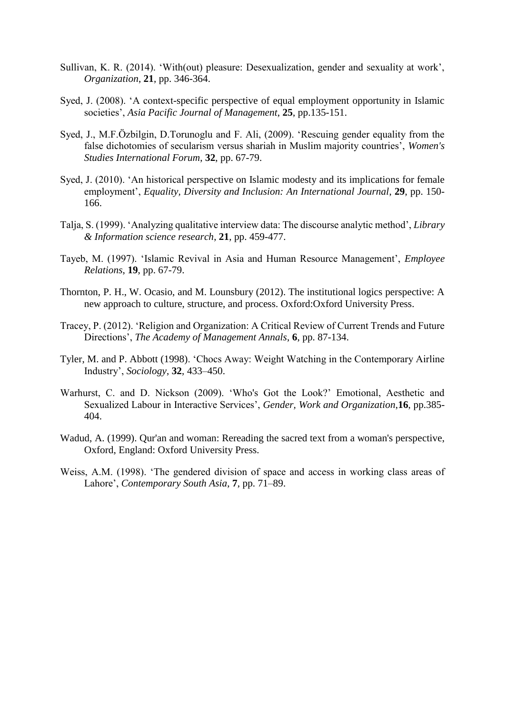- Sullivan, K. R. (2014). 'With(out) pleasure: Desexualization, gender and sexuality at work', *Organization*, **21**, pp. 346-364.
- Syed, J. (2008). 'A context-specific perspective of equal employment opportunity in Islamic societies', *Asia Pacific Journal of Management*, **25**, pp.135-151.
- Syed, J., M.F.Özbilgin, D.Torunoglu and F. Ali, (2009). 'Rescuing gender equality from the false dichotomies of secularism versus shariah in Muslim majority countries', *Women's Studies International Forum*, **32**, pp. 67-79.
- Syed, J. (2010). 'An historical perspective on Islamic modesty and its implications for female employment', *Equality, Diversity and Inclusion: An International Journal*, **29**, pp. 150- 166.
- Talja, S. (1999). 'Analyzing qualitative interview data: The discourse analytic method', *Library & Information science research*, **21**, pp. 459-477.
- Tayeb, M. (1997). 'Islamic Revival in Asia and Human Resource Management', *Employee Relations*, **19**, pp. 67-79.
- Thornton, P. H., W. Ocasio, and M. Lounsbury (2012). The institutional logics perspective: A new approach to culture, structure, and process. Oxford:Oxford University Press.
- Tracey, P. (2012). 'Religion and Organization: A Critical Review of Current Trends and Future Directions', *The Academy of Management Annals*, **6**, pp. 87-134.
- Tyler, M. and P. Abbott (1998). 'Chocs Away: Weight Watching in the Contemporary Airline Industry', *Sociology*, **32**, 433–450.
- Warhurst, C. and D. Nickson (2009). 'Who's Got the Look?' Emotional, Aesthetic and Sexualized Labour in Interactive Services', *Gender, Work and Organization*,**16**, pp.385- 404.
- Wadud, A. (1999). Qur'an and woman: Rereading the sacred text from a woman's perspective, Oxford, England: Oxford University Press.
- Weiss, A.M. (1998). 'The gendered division of space and access in working class areas of Lahore', *Contemporary South Asia*, **7**, pp. 71–89.